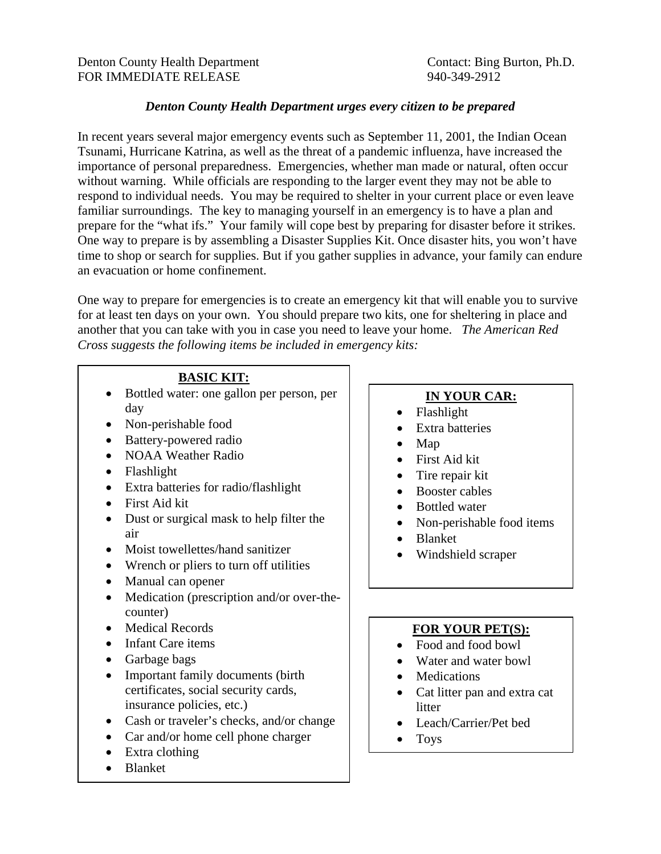## *Denton County Health Department urges every citizen to be prepared*

In recent years several major emergency events such as September 11, 2001, the Indian Ocean Tsunami, Hurricane Katrina, as well as the threat of a pandemic influenza, have increased the importance of personal preparedness. Emergencies, whether man made or natural, often occur without warning. While officials are responding to the larger event they may not be able to respond to individual needs. You may be required to shelter in your current place or even leave familiar surroundings. The key to managing yourself in an emergency is to have a plan and prepare for the "what ifs." Your family will cope best by preparing for disaster before it strikes. One way to prepare is by assembling a Disaster Supplies Kit. Once disaster hits, you won't have time to shop or search for supplies. But if you gather supplies in advance, your family can endure an evacuation or home confinement.

One way to prepare for emergencies is to create an emergency kit that will enable you to survive for at least ten days on your own. You should prepare two kits, one for sheltering in place and another that you can take with you in case you need to leave your home. *The American Red Cross suggests the following items be included in emergency kits:* 

## **BASIC KIT:**

- Bottled water: one gallon per person, per day
- Non-perishable food
- Battery-powered radio
- NOAA Weather Radio
- Flashlight
- Extra batteries for radio/flashlight
- First Aid kit
- Dust or surgical mask to help filter the air
- Moist towellettes/hand sanitizer
- Wrench or pliers to turn off utilities
- Manual can opener
- Medication (prescription and/or over-thecounter)
- Medical Records
- Infant Care items
- Garbage bags
- Important family documents (birth certificates, social security cards, insurance policies, etc.)
- Cash or traveler's checks, and/or change
- Car and/or home cell phone charger
- Extra clothing
- Blanket

# **IN YOUR CAR:**

- Flashlight
- Extra batteries
- Map
- First Aid kit
- Tire repair kit
- Booster cables
- Bottled water
- Non-perishable food items
- Blanket
- Windshield scraper

# **FOR YOUR PET(S):**

- Food and food bowl
- Water and water bowl
- Medications
- Cat litter pan and extra cat litter
- Leach/Carrier/Pet bed
- Toys